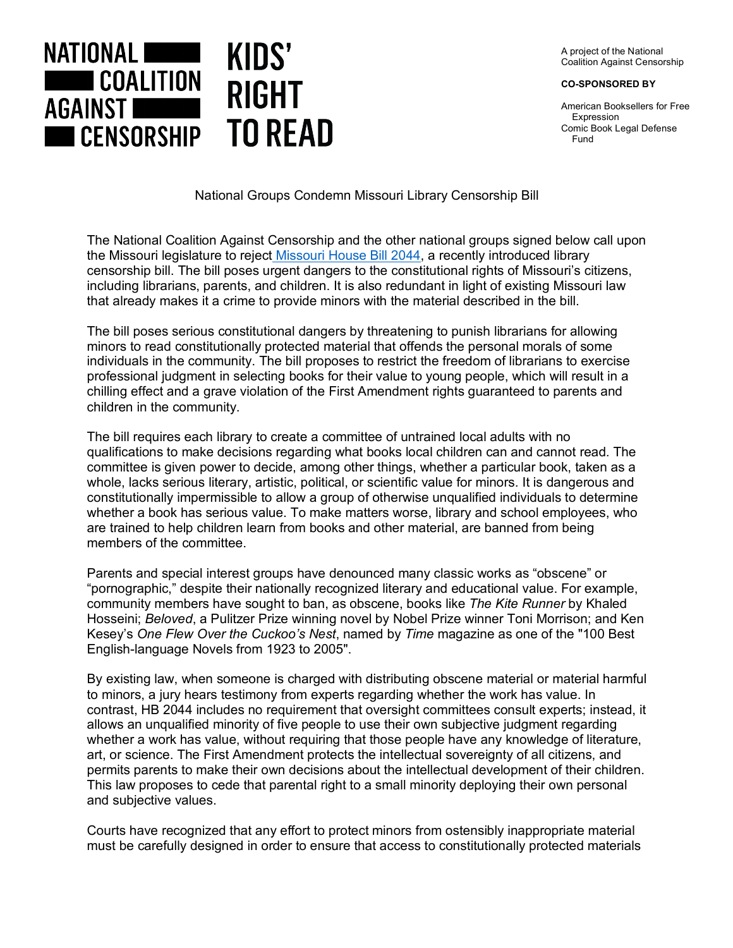A project of the National Coalition Against Censorship

**CO-SPONSORED BY**

American Booksellers for Free Expression Comic Book Legal Defense Fund



## National Groups Condemn Missouri Library Censorship Bill

The National Coalition Against Censorship and the other national groups signed below call upon the Missouri legislature to reject Missouri House Bill 2044, a recently introduced library censorship bill. The bill poses urgent dangers to the constitutional rights of Missouri's citizens, including librarians, parents, and children. It is also redundant in light of existing Missouri law that already makes it a crime to provide minors with the material described in the bill.

The bill poses serious constitutional dangers by threatening to punish librarians for allowing minors to read constitutionally protected material that offends the personal morals of some individuals in the community. The bill proposes to restrict the freedom of librarians to exercise professional judgment in selecting books for their value to young people, which will result in a chilling effect and a grave violation of the First Amendment rights guaranteed to parents and children in the community.

The bill requires each library to create a committee of untrained local adults with no qualifications to make decisions regarding what books local children can and cannot read. The committee is given power to decide, among other things, whether a particular book, taken as a whole, lacks serious literary, artistic, political, or scientific value for minors. It is dangerous and constitutionally impermissible to allow a group of otherwise unqualified individuals to determine whether a book has serious value. To make matters worse, library and school employees, who are trained to help children learn from books and other material, are banned from being members of the committee.

Parents and special interest groups have denounced many classic works as "obscene" or "pornographic," despite their nationally recognized literary and educational value. For example, community members have sought to ban, as obscene, books like *The Kite Runner* by Khaled Hosseini; *Beloved*, a Pulitzer Prize winning novel by Nobel Prize winner Toni Morrison; and Ken Kesey's *One Flew Over the Cuckoo's Nest*, named by *Time* magazine as one of the "100 Best English-language Novels from 1923 to 2005".

By existing law, when someone is charged with distributing obscene material or material harmful to minors, a jury hears testimony from experts regarding whether the work has value. In contrast, HB 2044 includes no requirement that oversight committees consult experts; instead, it allows an unqualified minority of five people to use their own subjective judgment regarding whether a work has value, without requiring that those people have any knowledge of literature, art, or science. The First Amendment protects the intellectual sovereignty of all citizens, and permits parents to make their own decisions about the intellectual development of their children. This law proposes to cede that parental right to a small minority deploying their own personal and subjective values.

Courts have recognized that any effort to protect minors from ostensibly inappropriate material must be carefully designed in order to ensure that access to constitutionally protected materials